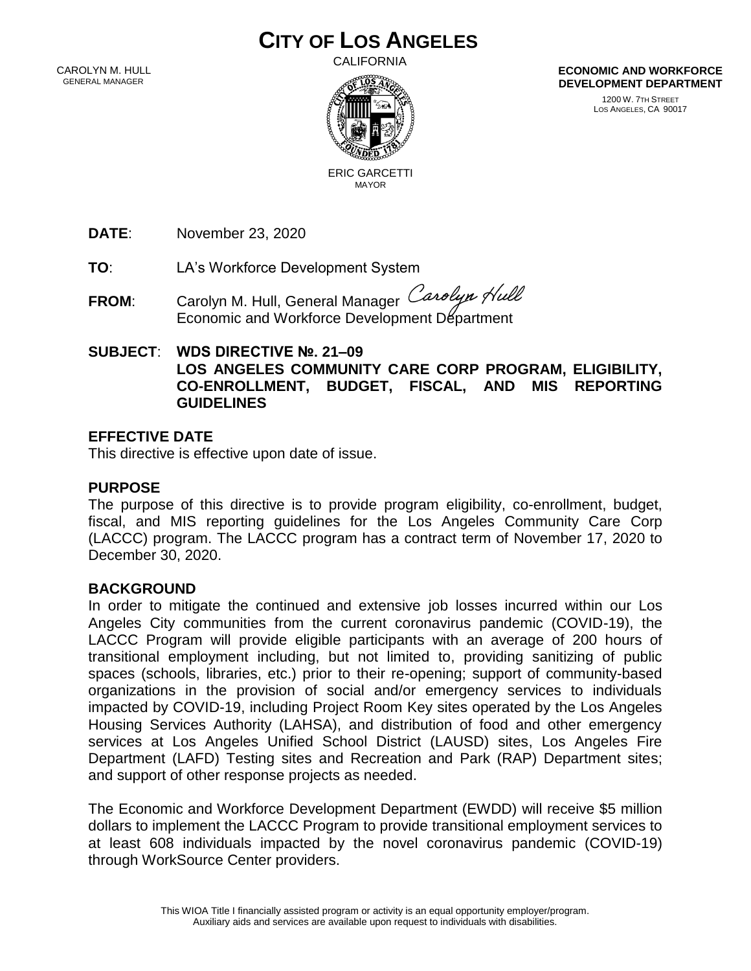# **CITY OF LOS ANGELES**

 CAROLYN M. HULL GENERAL MANAGER

CALIFORNIA



**ECONOMIC AND WORKFORCE DEVELOPMENT DEPARTMENT**

> 1200 W. 7TH STREET LOS ANGELES, CA 90017

 ERIC GARCETTI MAYOR

**DATE**: November 23, 2020

**TO**: LA's Workforce Development System

FROM: Carolyn M. Hull, General Manager Carolyn Hull Economic and Workforce Development Department

## **SUBJECT**: **WDS DIRECTIVE №. 21–09 LOS ANGELES COMMUNITY CARE CORP PROGRAM, ELIGIBILITY, CO-ENROLLMENT, BUDGET, FISCAL, AND MIS REPORTING GUIDELINES**

## **EFFECTIVE DATE**

This directive is effective upon date of issue.

## **PURPOSE**

The purpose of this directive is to provide program eligibility, co-enrollment, budget, fiscal, and MIS reporting guidelines for the Los Angeles Community Care Corp (LACCC) program. The LACCC program has a contract term of November 17, 2020 to December 30, 2020.

#### **BACKGROUND**

In order to mitigate the continued and extensive job losses incurred within our Los Angeles City communities from the current coronavirus pandemic (COVID-19), the LACCC Program will provide eligible participants with an average of 200 hours of transitional employment including, but not limited to, providing sanitizing of public spaces (schools, libraries, etc.) prior to their re-opening; support of community-based organizations in the provision of social and/or emergency services to individuals impacted by COVID-19, including Project Room Key sites operated by the Los Angeles Housing Services Authority (LAHSA), and distribution of food and other emergency services at Los Angeles Unified School District (LAUSD) sites, Los Angeles Fire Department (LAFD) Testing sites and Recreation and Park (RAP) Department sites; and support of other response projects as needed.

The Economic and Workforce Development Department (EWDD) will receive \$5 million dollars to implement the LACCC Program to provide transitional employment services to at least 608 individuals impacted by the novel coronavirus pandemic (COVID-19) through WorkSource Center providers.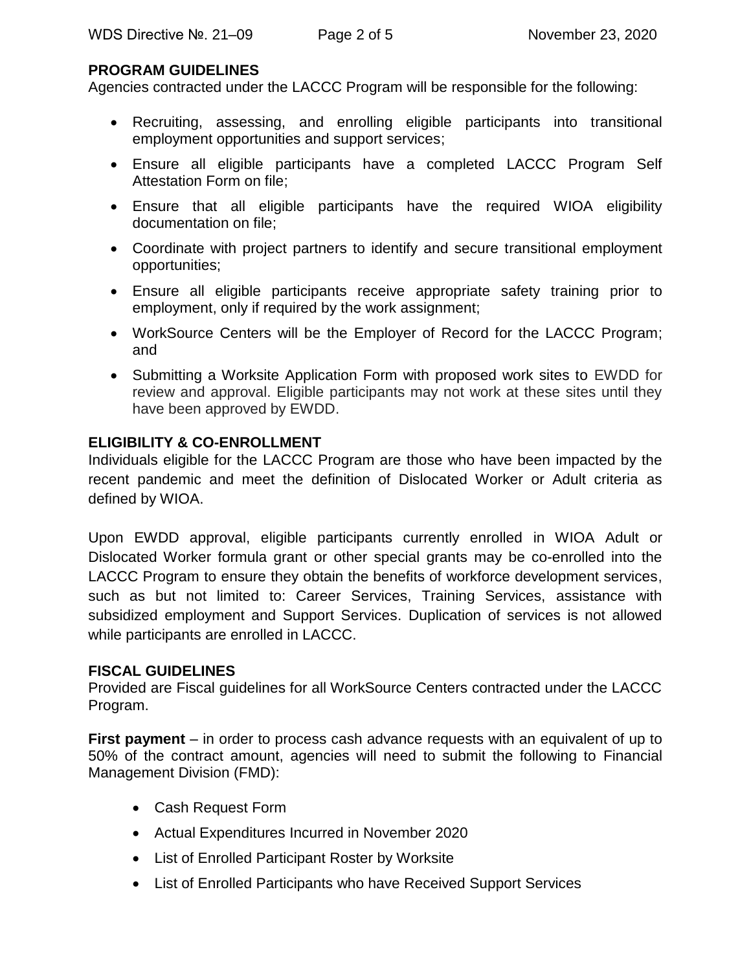## **PROGRAM GUIDELINES**

Agencies contracted under the LACCC Program will be responsible for the following:

- Recruiting, assessing, and enrolling eligible participants into transitional employment opportunities and support services;
- Ensure all eligible participants have a completed LACCC Program Self Attestation Form on file;
- Ensure that all eligible participants have the required WIOA eligibility documentation on file;
- Coordinate with project partners to identify and secure transitional employment opportunities;
- Ensure all eligible participants receive appropriate safety training prior to employment, only if required by the work assignment;
- WorkSource Centers will be the Employer of Record for the LACCC Program; and
- Submitting a Worksite Application Form with proposed work sites to EWDD for review and approval. Eligible participants may not work at these sites until they have been approved by EWDD.

# **ELIGIBILITY & CO-ENROLLMENT**

Individuals eligible for the LACCC Program are those who have been impacted by the recent pandemic and meet the definition of Dislocated Worker or Adult criteria as defined by WIOA.

Upon EWDD approval, eligible participants currently enrolled in WIOA Adult or Dislocated Worker formula grant or other special grants may be co-enrolled into the LACCC Program to ensure they obtain the benefits of workforce development services, such as but not limited to: Career Services, Training Services, assistance with subsidized employment and Support Services. Duplication of services is not allowed while participants are enrolled in LACCC.

# **FISCAL GUIDELINES**

Provided are Fiscal guidelines for all WorkSource Centers contracted under the LACCC Program.

**First payment** – in order to process cash advance requests with an equivalent of up to 50% of the contract amount, agencies will need to submit the following to Financial Management Division (FMD):

- Cash Request Form
- Actual Expenditures Incurred in November 2020
- List of Enrolled Participant Roster by Worksite
- List of Enrolled Participants who have Received Support Services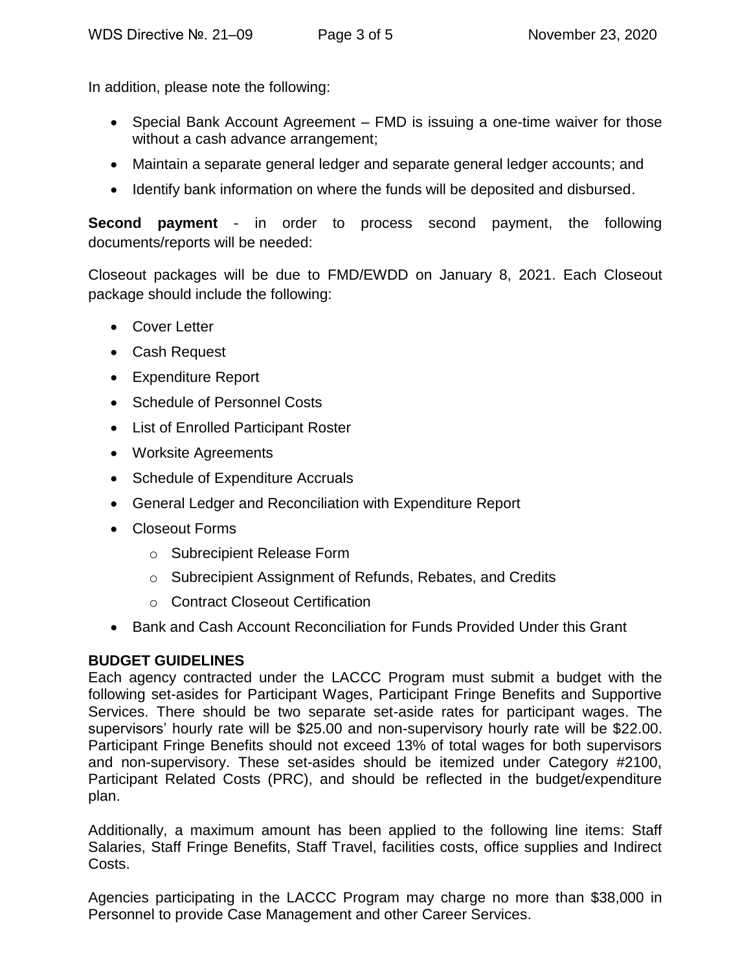In addition, please note the following:

- Special Bank Account Agreement FMD is issuing a one-time waiver for those without a cash advance arrangement;
- Maintain a separate general ledger and separate general ledger accounts; and
- Identify bank information on where the funds will be deposited and disbursed.

**Second payment** - in order to process second payment, the following documents/reports will be needed:

Closeout packages will be due to FMD/EWDD on January 8, 2021. Each Closeout package should include the following:

- Cover Letter
- Cash Request
- Expenditure Report
- Schedule of Personnel Costs
- List of Enrolled Participant Roster
- Worksite Agreements
- Schedule of Expenditure Accruals
- General Ledger and Reconciliation with Expenditure Report
- Closeout Forms
	- o Subrecipient Release Form
	- o Subrecipient Assignment of Refunds, Rebates, and Credits
	- o Contract Closeout Certification
- Bank and Cash Account Reconciliation for Funds Provided Under this Grant

# **BUDGET GUIDELINES**

Each agency contracted under the LACCC Program must submit a budget with the following set-asides for Participant Wages, Participant Fringe Benefits and Supportive Services. There should be two separate set-aside rates for participant wages. The supervisors' hourly rate will be \$25.00 and non-supervisory hourly rate will be \$22.00. Participant Fringe Benefits should not exceed 13% of total wages for both supervisors and non-supervisory. These set-asides should be itemized under Category #2100, Participant Related Costs (PRC), and should be reflected in the budget/expenditure plan.

Additionally, a maximum amount has been applied to the following line items: Staff Salaries, Staff Fringe Benefits, Staff Travel, facilities costs, office supplies and Indirect Costs.

Agencies participating in the LACCC Program may charge no more than \$38,000 in Personnel to provide Case Management and other Career Services.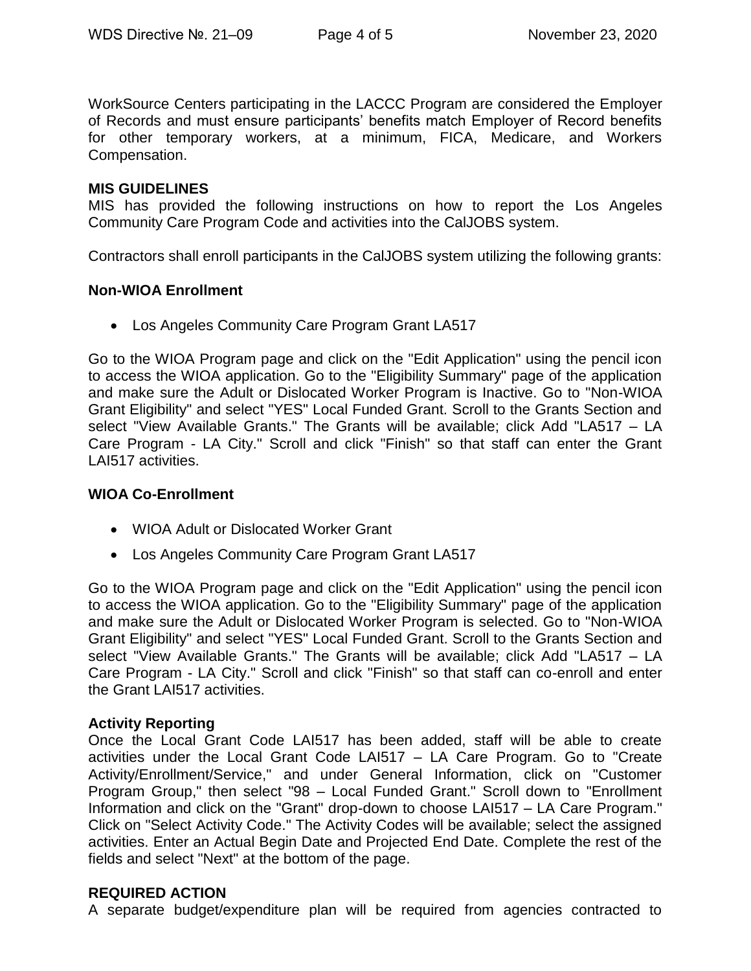WorkSource Centers participating in the LACCC Program are considered the Employer of Records and must ensure participants' benefits match Employer of Record benefits for other temporary workers, at a minimum, FICA, Medicare, and Workers Compensation.

#### **MIS GUIDELINES**

MIS has provided the following instructions on how to report the Los Angeles Community Care Program Code and activities into the CalJOBS system.

Contractors shall enroll participants in the CalJOBS system utilizing the following grants:

## **Non-WIOA Enrollment**

Los Angeles Community Care Program Grant LA517

Go to the WIOA Program page and click on the "Edit Application" using the pencil icon to access the WIOA application. Go to the "Eligibility Summary" page of the application and make sure the Adult or Dislocated Worker Program is Inactive. Go to "Non-WIOA Grant Eligibility" and select "YES" Local Funded Grant. Scroll to the Grants Section and select "View Available Grants." The Grants will be available; click Add "LA517 – LA Care Program - LA City." Scroll and click "Finish" so that staff can enter the Grant LAI517 activities.

#### **WIOA Co-Enrollment**

- WIOA Adult or Dislocated Worker Grant
- Los Angeles Community Care Program Grant LA517

Go to the WIOA Program page and click on the "Edit Application" using the pencil icon to access the WIOA application. Go to the "Eligibility Summary" page of the application and make sure the Adult or Dislocated Worker Program is selected. Go to "Non-WIOA Grant Eligibility" and select "YES" Local Funded Grant. Scroll to the Grants Section and select "View Available Grants." The Grants will be available; click Add "LA517 – LA Care Program - LA City." Scroll and click "Finish" so that staff can co-enroll and enter the Grant LAI517 activities.

#### **Activity Reporting**

Once the Local Grant Code LAI517 has been added, staff will be able to create activities under the Local Grant Code LAI517 – LA Care Program. Go to "Create Activity/Enrollment/Service," and under General Information, click on "Customer Program Group," then select "98 – Local Funded Grant." Scroll down to "Enrollment Information and click on the "Grant" drop-down to choose LAI517 – LA Care Program." Click on "Select Activity Code." The Activity Codes will be available; select the assigned activities. Enter an Actual Begin Date and Projected End Date. Complete the rest of the fields and select "Next" at the bottom of the page.

# **REQUIRED ACTION**

A separate budget/expenditure plan will be required from agencies contracted to